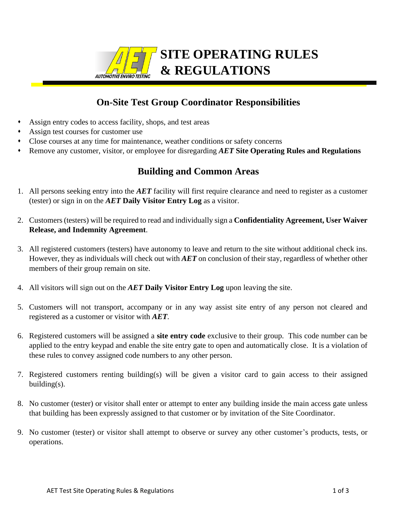

# **SITE OPERATING RULES & REGULATIONS**

## **On-Site Test Group Coordinator Responsibilities**

- ⬧ Assign entry codes to access facility, shops, and test areas
- ⬧ Assign test courses for customer use
- ⬧ Close courses at any time for maintenance, weather conditions or safety concerns
- ⬧ Remove any customer, visitor, or employee for disregarding *AET* **Site Operating Rules and Regulations**

## **Building and Common Areas**

- 1. All persons seeking entry into the *AET* facility will first require clearance and need to register as a customer (tester) or sign in on the *AET* **Daily Visitor Entry Log** as a visitor.
- 2. Customers (testers) will be required to read and individually sign a **Confidentiality Agreement, User Waiver Release, and Indemnity Agreement**.
- 3. All registered customers (testers) have autonomy to leave and return to the site without additional check ins. However, they as individuals will check out with *AET* on conclusion of their stay, regardless of whether other members of their group remain on site.
- 4. All visitors will sign out on the *AET* **Daily Visitor Entry Log** upon leaving the site.
- 5. Customers will not transport, accompany or in any way assist site entry of any person not cleared and registered as a customer or visitor with *AET*.
- 6. Registered customers will be assigned a **site entry code** exclusive to their group. This code number can be applied to the entry keypad and enable the site entry gate to open and automatically close. It is a violation of these rules to convey assigned code numbers to any other person.
- 7. Registered customers renting building(s) will be given a visitor card to gain access to their assigned building(s).
- 8. No customer (tester) or visitor shall enter or attempt to enter any building inside the main access gate unless that building has been expressly assigned to that customer or by invitation of the Site Coordinator.
- 9. No customer (tester) or visitor shall attempt to observe or survey any other customer's products, tests, or operations.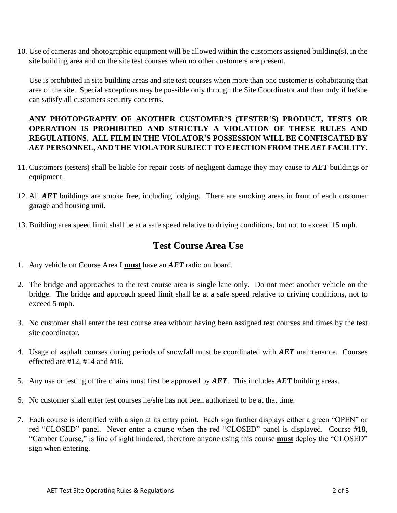10. Use of cameras and photographic equipment will be allowed within the customers assigned building(s), in the site building area and on the site test courses when no other customers are present.

Use is prohibited in site building areas and site test courses when more than one customer is cohabitating that area of the site. Special exceptions may be possible only through the Site Coordinator and then only if he/she can satisfy all customers security concerns.

### **ANY PHOTOPGRAPHY OF ANOTHER CUSTOMER'S (TESTER'S) PRODUCT, TESTS OR OPERATION IS PROHIBITED AND STRICTLY A VIOLATION OF THESE RULES AND REGULATIONS. ALL FILM IN THE VIOLATOR'S POSSESSION WILL BE CONFISCATED BY**  *AET* **PERSONNEL, AND THE VIOLATOR SUBJECT TO EJECTION FROM THE** *AET* **FACILITY.**

- 11. Customers (testers) shall be liable for repair costs of negligent damage they may cause to *AET* buildings or equipment.
- 12. All *AET* buildings are smoke free, including lodging. There are smoking areas in front of each customer garage and housing unit.
- 13. Building area speed limit shall be at a safe speed relative to driving conditions, but not to exceed 15 mph.

## **Test Course Area Use**

- 1. Any vehicle on Course Area I **must** have an *AET* radio on board.
- 2. The bridge and approaches to the test course area is single lane only. Do not meet another vehicle on the bridge. The bridge and approach speed limit shall be at a safe speed relative to driving conditions, not to exceed 5 mph.
- 3. No customer shall enter the test course area without having been assigned test courses and times by the test site coordinator.
- 4. Usage of asphalt courses during periods of snowfall must be coordinated with *AET* maintenance. Courses effected are #12, #14 and #16.
- 5. Any use or testing of tire chains must first be approved by *AET*. This includes *AET* building areas.
- 6. No customer shall enter test courses he/she has not been authorized to be at that time.
- 7. Each course is identified with a sign at its entry point. Each sign further displays either a green "OPEN" or red "CLOSED" panel. Never enter a course when the red "CLOSED" panel is displayed. Course #18, "Camber Course," is line of sight hindered, therefore anyone using this course **must** deploy the "CLOSED" sign when entering.